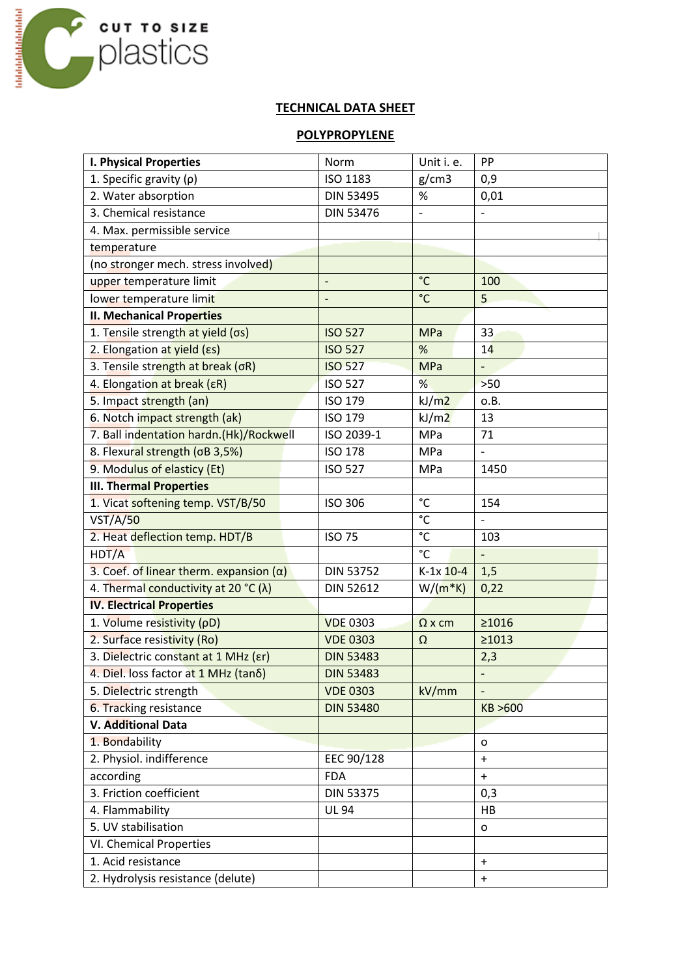

## **TECHNICAL DATA SHEET**

## **POLYPROPYLENE**

| <b>I. Physical Properties</b>                  | Norm             | Unit i. e.      | PP                       |  |
|------------------------------------------------|------------------|-----------------|--------------------------|--|
| 1. Specific gravity $(p)$                      | ISO 1183         | g/cm3           | 0,9                      |  |
| 2. Water absorption                            | <b>DIN 53495</b> | $\%$            | 0,01                     |  |
| 3. Chemical resistance                         | <b>DIN 53476</b> | $\overline{a}$  |                          |  |
| 4. Max. permissible service                    |                  |                 |                          |  |
| temperature                                    |                  |                 |                          |  |
| (no stronger mech. stress involved)            |                  |                 |                          |  |
| upper temperature limit                        |                  | $^{\circ}$ C    | 100                      |  |
| lower temperature limit                        |                  | $\rm ^{\circ}C$ | 5                        |  |
| <b>II. Mechanical Properties</b>               |                  |                 |                          |  |
| 1. Tensile strength at yield (os)              | <b>ISO 527</b>   | <b>MPa</b>      | 33                       |  |
| 2. Elongation at yield (Es)                    | <b>ISO 527</b>   | %               | 14                       |  |
| 3. Tensile strength at break (oR)              | <b>ISO 527</b>   | <b>MPa</b>      | $\overline{\phantom{0}}$ |  |
| 4. Elongation at break (ER)                    | <b>ISO 527</b>   | %               | $>50$                    |  |
| 5. Impact strength (an)                        | ISO 179          | kJ/m2           | o.B.                     |  |
| 6. Notch impact strength (ak)                  | ISO 179          | kJ/m2           | 13                       |  |
| 7. Ball indentation hardn.(Hk)/Rockwell        | ISO 2039-1       | MPa             | 71                       |  |
| 8. Flexural strength (oB 3,5%)                 | <b>ISO 178</b>   | MPa             |                          |  |
| 9. Modulus of elasticy (Et)                    | <b>ISO 527</b>   | MPa             | 1450                     |  |
| <b>III. Thermal Properties</b>                 |                  |                 |                          |  |
| 1. Vicat softening temp. VST/B/50              | <b>ISO 306</b>   | °C              | 154                      |  |
| VST/A/50                                       |                  | $^{\circ}$ C    | $\overline{\phantom{0}}$ |  |
| 2. Heat deflection temp. HDT/B                 | <b>ISO 75</b>    | $^{\circ}$ C    | 103                      |  |
| HDT/A                                          |                  | $^{\circ}$ C    | $\frac{1}{2}$            |  |
| 3. Coef. of linear therm. expansion $(\alpha)$ | <b>DIN 53752</b> | $K-1x$ 10-4     | 1,5                      |  |
| 4. Thermal conductivity at 20 °C ( $\lambda$ ) | <b>DIN 52612</b> | $W/(m*K)$       | 0,22                     |  |
| <b>IV. Electrical Properties</b>               |                  |                 |                          |  |
| 1. Volume resistivity (pD)                     | <b>VDE 0303</b>  | $\Omega$ x cm   | ≥1016                    |  |
| 2. Surface resistivity (Ro)                    | <b>VDE 0303</b>  | Ω               | ≥1013                    |  |
| 3. Dielectric constant at 1 MHz (Er)           | <b>DIN 53483</b> |                 | 2,3                      |  |
| 4. Diel. loss factor at 1 MHz (tano)           | <b>DIN 53483</b> |                 |                          |  |
| 5. Dielectric strength                         | <b>VDE 0303</b>  | kV/mm           |                          |  |
| 6. Tracking resistance                         | <b>DIN 53480</b> |                 | KB >600                  |  |
| V. Additional Data                             |                  |                 |                          |  |
| 1. Bondability                                 |                  |                 | o                        |  |
| 2. Physiol. indifference                       | EEC 90/128       |                 | $\ddot{}$                |  |
| according                                      | <b>FDA</b>       |                 | $\ddot{}$                |  |
| 3. Friction coefficient                        | <b>DIN 53375</b> |                 | 0,3                      |  |
| 4. Flammability                                | <b>UL 94</b>     |                 | HB                       |  |
| 5. UV stabilisation                            |                  |                 | o                        |  |
| VI. Chemical Properties                        |                  |                 |                          |  |
| 1. Acid resistance                             |                  |                 | $\ddot{}$                |  |
| 2. Hydrolysis resistance (delute)              |                  |                 | $\ddot{}$                |  |